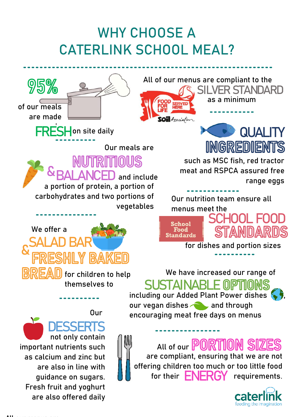# **WHY CHOOSE A CATERLINK SCHOOL MEAL?**

**Our meals are** 

**vegetables**

**&BALANCED and include** 



**of our meals are made**

**FRESH** on site daily

**a portion of protein, a portion of carbohydrates and two portions of** 

**All of our menus are compliant to the as a minimum SILVER STANDARD**



**such as MSC fish, red tractor meat and RSPCA assured free range eggs** 

**Our nutrition team ensure all menus meet the SCHOOL FOOD**



**SOil** Association

**for dishes and portion sizes** 

**We have increased our range of SUSTAINABLE** MPT



**All of our are compliant, ensuring that we are not offering children too much or too little food**  for their **ENERGY** requirements.



**Our** 

**D** for children to help **themselves to**

 **DESSERTS not only contain important nutrients such as calcium and zinc but are also in line with guidance on sugars. Fresh fruit and yoghurt are also offered daily**

**SALAD BAR<sup>®</sup>**<br>& EDERBUIL & B

**We offer a**  $\mathsf{L}\mathsf{L}$ 



**All our menus are**